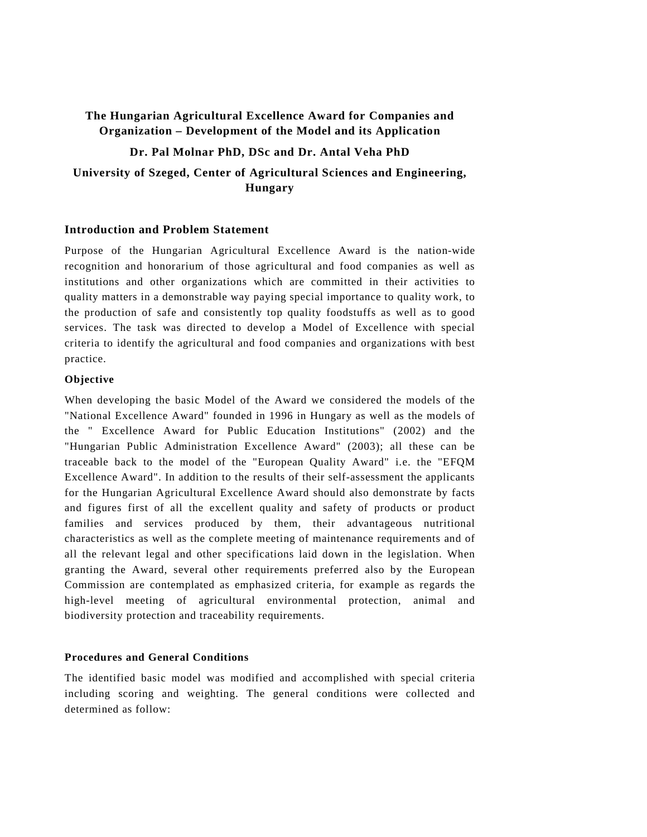# **The Hungarian Agricultural Excellence Award for Companies and Organization – Development of the Model and its Application**

**Dr. Pal Molnar PhD, DSc and Dr. Antal Veha PhD** 

# **University of Szeged, Center of Agricultural Sciences and Engineering, Hungary**

## **Introduction and Problem Statement**

Purpose of the Hungarian Agricultural Excellence Award is the nation-wide recognition and honorarium of those agricultural and food companies as well as institutions and other organizations which are committed in their activities to quality matters in a demonstrable way paying special importance to quality work, to the production of safe and consistently top quality foodstuffs as well as to good services. The task was directed to develop a Model of Excellence with special criteria to identify the agricultural and food companies and organizations with best practice.

## **Objective**

When developing the basic Model of the Award we considered the models of the "National Excellence Award" founded in 1996 in Hungary as well as the models of the " Excellence Award for Public Education Institutions" (2002) and the "Hungarian Public Administration Excellence Award" (2003); all these can be traceable back to the model of the "European Quality Award" i.e. the "EFQM Excellence Award". In addition to the results of their self-assessment the applicants for the Hungarian Agricultural Excellence Award should also demonstrate by facts and figures first of all the excellent quality and safety of products or product families and services produced by them, their advantageous nutritional characteristics as well as the complete meeting of maintenance requirements and of all the relevant legal and other specifications laid down in the legislation. When granting the Award, several other requirements preferred also by the European Commission are contemplated as emphasized criteria, for example as regards the high-level meeting of agricultural environmental protection, animal and biodiversity protection and traceability requirements.

## **Procedures and General Conditions**

The identified basic model was modified and accomplished with special criteria including scoring and weighting. The general conditions were collected and determined as follow: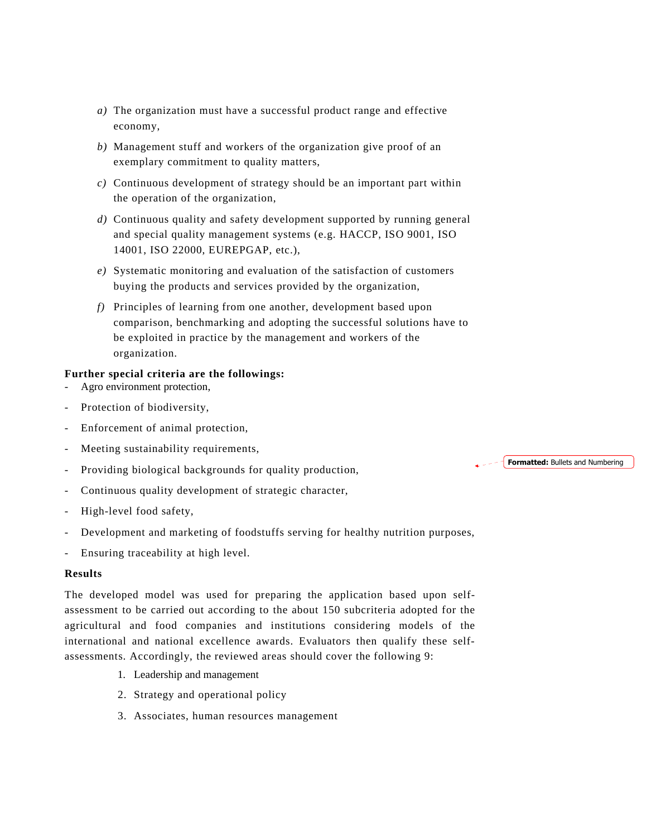- *a)* The organization must have a successful product range and effective economy,
- *b)* Management stuff and workers of the organization give proof of an exemplary commitment to quality matters,
- *c)* Continuous development of strategy should be an important part within the operation of the organization,
- *d)* Continuous quality and safety development supported by running general and special quality management systems (e.g. HACCP, ISO 9001, ISO 14001, ISO 22000, EUREPGAP, etc.),
- *e)* Systematic monitoring and evaluation of the satisfaction of customers buying the products and services provided by the organization,
- *f)* Principles of learning from one another, development based upon comparison, benchmarking and adopting the successful solutions have to be exploited in practice by the management and workers of the organization.

## **Further special criteria are the followings:**

- Agro environment protection,
- Protection of biodiversity,
- Enforcement of animal protection,
- Meeting sustainability requirements,
- Providing biological backgrounds for quality production,
- Continuous quality development of strategic character,
- High-level food safety,
- Development and marketing of foodstuffs serving for healthy nutrition purposes,
- Ensuring traceability at high level.

## **Results**

The developed model was used for preparing the application based upon selfassessment to be carried out according to the about 150 subcriteria adopted for the agricultural and food companies and institutions considering models of the international and national excellence awards. Evaluators then qualify these selfassessments. Accordingly, the reviewed areas should cover the following 9:

- 1. Leadership and management
- 2. Strategy and operational policy
- 3. Associates, human resources management

#### $\triangle$  =  $\angle$  **Formatted:** Bullets and Numbering